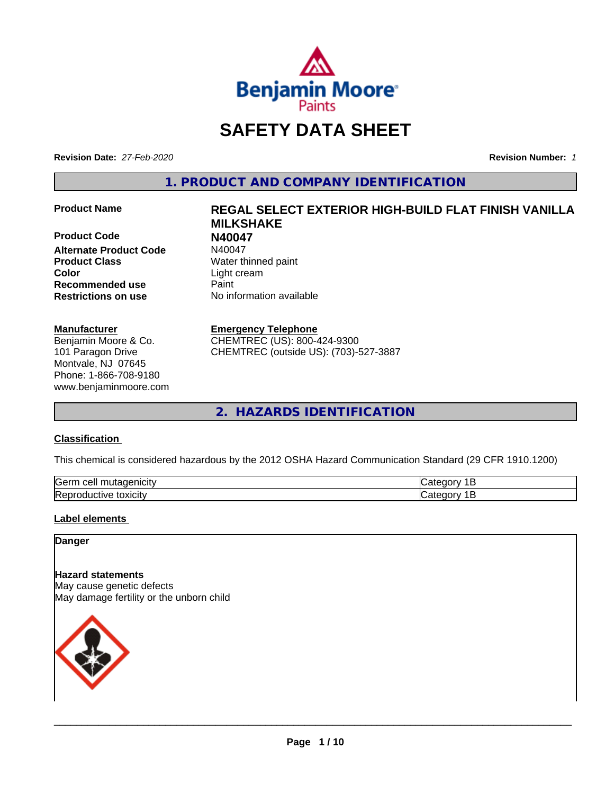

# **SAFETY DATA SHEET**

**Revision Date:** *27-Feb-2020* **Revision Number:** *1*

**1. PRODUCT AND COMPANY IDENTIFICATION**

**Product Code N40047 Alternate Product Code Product Class** Water thinned paint **Color** Light cream **Recommended use Caint Restrictions on use** No information available

#### **Manufacturer**

Benjamin Moore & Co. 101 Paragon Drive Montvale, NJ 07645 Phone: 1-866-708-9180 www.benjaminmoore.com

# **Product Name REGAL SELECT EXTERIOR HIGH-BUILD FLAT FINISH VANILLA MILKSHAKE**

#### **Emergency Telephone**

CHEMTREC (US): 800-424-9300 CHEMTREC (outside US): (703)-527-3887

**2. HAZARDS IDENTIFICATION**

#### **Classification**

This chemical is considered hazardous by the 2012 OSHA Hazard Communication Standard (29 CFR 1910.1200)

| <b>Gern</b><br>---<br>----<br>`16<br>ш<br>$\sqrt{2}$ | - - - |
|------------------------------------------------------|-------|
| Rep<br>*OXICIty<br>:TIVE<br>זו נ                     |       |

#### **Label elements**

#### **Danger**

**Hazard statements** May cause genetic defects May damage fertility or the unborn child

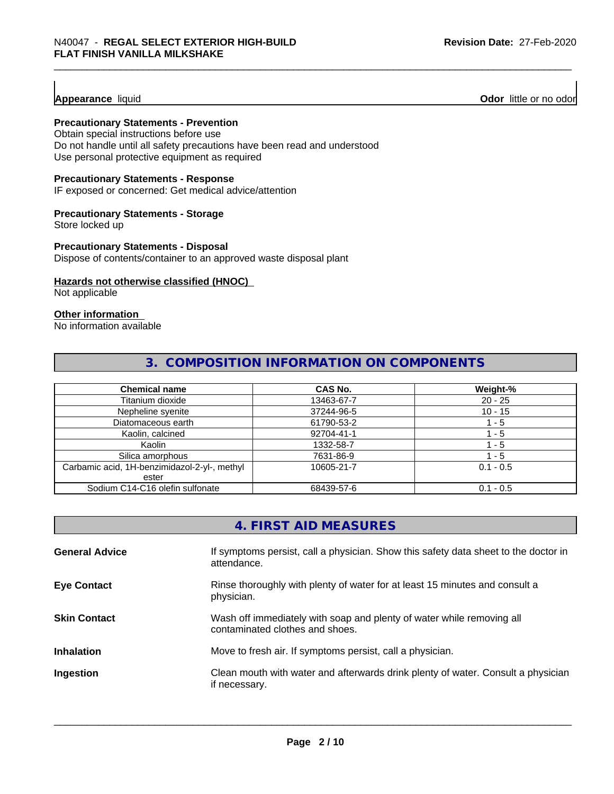**Appearance** liquid **Odor 11** Odor little or no odor

#### **Precautionary Statements - Prevention**

Obtain special instructions before use Do not handle until all safety precautions have been read and understood Use personal protective equipment as required

#### **Precautionary Statements - Response**

IF exposed or concerned: Get medical advice/attention

#### **Precautionary Statements - Storage**

Store locked up

#### **Precautionary Statements - Disposal**

Dispose of contents/container to an approved waste disposal plant

#### **Hazards not otherwise classified (HNOC)**

Not applicable

#### **Other information**

No information available

### **3. COMPOSITION INFORMATION ON COMPONENTS**

| <b>Chemical name</b>                         | <b>CAS No.</b> | Weight-%    |
|----------------------------------------------|----------------|-------------|
| Titanium dioxide                             | 13463-67-7     | $20 - 25$   |
| Nepheline syenite                            | 37244-96-5     | $10 - 15$   |
| Diatomaceous earth                           | 61790-53-2     | ' - 5       |
| Kaolin, calcined                             | 92704-41-1     | - 5         |
| Kaolin                                       | 1332-58-7      | 1 - 5       |
| Silica amorphous                             | 7631-86-9      | $-5$        |
| Carbamic acid, 1H-benzimidazol-2-yl-, methyl | 10605-21-7     | $0.1 - 0.5$ |
| ester                                        |                |             |
| Sodium C14-C16 olefin sulfonate              | 68439-57-6     | $0.1 - 0.5$ |

|                       | 4. FIRST AID MEASURES                                                                                    |
|-----------------------|----------------------------------------------------------------------------------------------------------|
| <b>General Advice</b> | If symptoms persist, call a physician. Show this safety data sheet to the doctor in<br>attendance.       |
| <b>Eye Contact</b>    | Rinse thoroughly with plenty of water for at least 15 minutes and consult a<br>physician.                |
| <b>Skin Contact</b>   | Wash off immediately with soap and plenty of water while removing all<br>contaminated clothes and shoes. |
| <b>Inhalation</b>     | Move to fresh air. If symptoms persist, call a physician.                                                |
| Ingestion             | Clean mouth with water and afterwards drink plenty of water. Consult a physician<br>if necessary.        |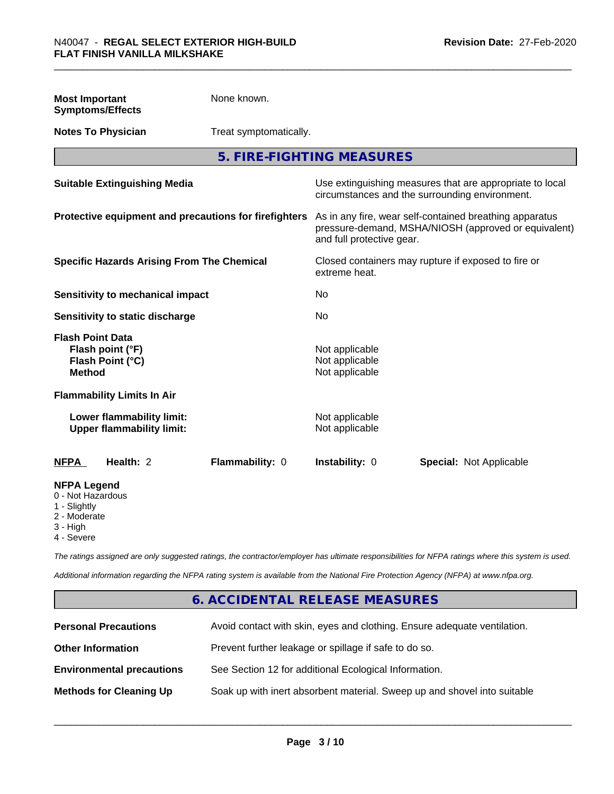| <b>Most Important</b><br><b>Symptoms/Effects</b>                                                  | None known.            |                                                                                                                                              |                                                                                                            |  |
|---------------------------------------------------------------------------------------------------|------------------------|----------------------------------------------------------------------------------------------------------------------------------------------|------------------------------------------------------------------------------------------------------------|--|
| <b>Notes To Physician</b>                                                                         | Treat symptomatically. |                                                                                                                                              |                                                                                                            |  |
|                                                                                                   |                        | 5. FIRE-FIGHTING MEASURES                                                                                                                    |                                                                                                            |  |
| <b>Suitable Extinguishing Media</b>                                                               |                        |                                                                                                                                              | Use extinguishing measures that are appropriate to local<br>circumstances and the surrounding environment. |  |
| Protective equipment and precautions for firefighters                                             |                        | As in any fire, wear self-contained breathing apparatus<br>pressure-demand, MSHA/NIOSH (approved or equivalent)<br>and full protective gear. |                                                                                                            |  |
| <b>Specific Hazards Arising From The Chemical</b>                                                 |                        | Closed containers may rupture if exposed to fire or<br>extreme heat.                                                                         |                                                                                                            |  |
| <b>Sensitivity to mechanical impact</b>                                                           |                        | No                                                                                                                                           |                                                                                                            |  |
| Sensitivity to static discharge                                                                   |                        | No                                                                                                                                           |                                                                                                            |  |
| <b>Flash Point Data</b><br>Flash point (°F)<br>Flash Point (°C)<br><b>Method</b>                  |                        | Not applicable<br>Not applicable<br>Not applicable                                                                                           |                                                                                                            |  |
| <b>Flammability Limits In Air</b>                                                                 |                        |                                                                                                                                              |                                                                                                            |  |
| Lower flammability limit:<br><b>Upper flammability limit:</b>                                     |                        | Not applicable<br>Not applicable                                                                                                             |                                                                                                            |  |
| <b>NFPA</b><br>Health: 2                                                                          | Flammability: 0        | Instability: 0                                                                                                                               | <b>Special: Not Applicable</b>                                                                             |  |
| <b>NFPA Legend</b><br>0 - Not Hazardous<br>1 - Slightly<br>2 - Moderate<br>3 - High<br>4 - Severe |                        |                                                                                                                                              |                                                                                                            |  |

*The ratings assigned are only suggested ratings, the contractor/employer has ultimate responsibilities for NFPA ratings where this system is used.*

*Additional information regarding the NFPA rating system is available from the National Fire Protection Agency (NFPA) at www.nfpa.org.*

# **6. ACCIDENTAL RELEASE MEASURES**

| <b>Personal Precautions</b>      | Avoid contact with skin, eyes and clothing. Ensure adequate ventilation. |
|----------------------------------|--------------------------------------------------------------------------|
| <b>Other Information</b>         | Prevent further leakage or spillage if safe to do so.                    |
| <b>Environmental precautions</b> | See Section 12 for additional Ecological Information.                    |
| <b>Methods for Cleaning Up</b>   | Soak up with inert absorbent material. Sweep up and shovel into suitable |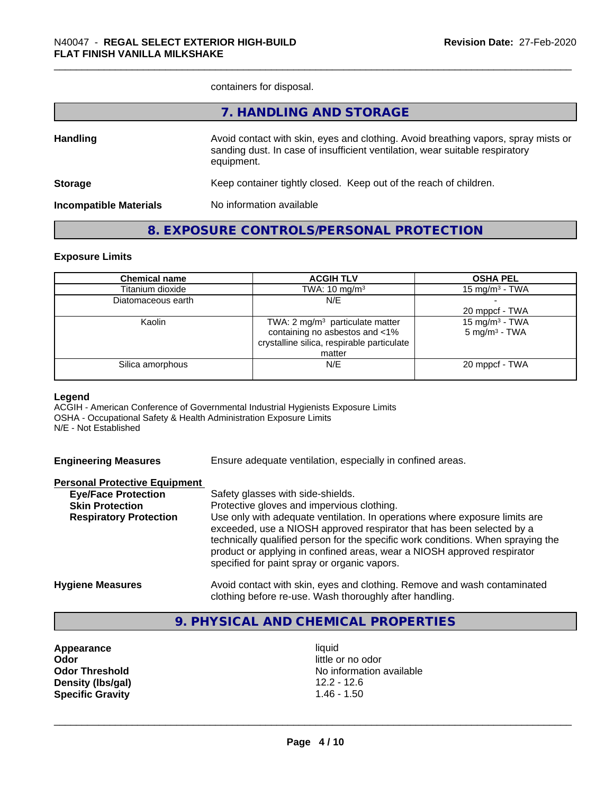containers for disposal.

|                               | 7. HANDLING AND STORAGE                                                                                                                                                          |
|-------------------------------|----------------------------------------------------------------------------------------------------------------------------------------------------------------------------------|
| <b>Handling</b>               | Avoid contact with skin, eyes and clothing. Avoid breathing vapors, spray mists or<br>sanding dust. In case of insufficient ventilation, wear suitable respiratory<br>equipment. |
| <b>Storage</b>                | Keep container tightly closed. Keep out of the reach of children.                                                                                                                |
| <b>Incompatible Materials</b> | No information available                                                                                                                                                         |
|                               |                                                                                                                                                                                  |

### **8. EXPOSURE CONTROLS/PERSONAL PROTECTION**

#### **Exposure Limits**

| <b>Chemical name</b> | <b>ACGIH TLV</b>                           | <b>OSHA PEL</b>            |
|----------------------|--------------------------------------------|----------------------------|
| Titanium dioxide     | TWA: $10 \text{ mg/m}^3$                   | 15 mg/m $3$ - TWA          |
| Diatomaceous earth   | N/E                                        |                            |
|                      |                                            | 20 mppcf - TWA             |
| Kaolin               | TWA: 2 $mg/m3$ particulate matter          | 15 mg/m <sup>3</sup> - TWA |
|                      | containing no asbestos and <1%             | $5 \text{ mg/m}^3$ - TWA   |
|                      | crystalline silica, respirable particulate |                            |
|                      | matter                                     |                            |
| Silica amorphous     | N/E                                        | 20 mppcf - TWA             |
|                      |                                            |                            |

#### **Legend**

ACGIH - American Conference of Governmental Industrial Hygienists Exposure Limits OSHA - Occupational Safety & Health Administration Exposure Limits N/E - Not Established

| <b>Engineering Measures</b> | Ensure adequate ventilation, especially in confined areas. |  |  |  |
|-----------------------------|------------------------------------------------------------|--|--|--|
|                             |                                                            |  |  |  |

| <b>Personal Protective Equipment</b> |                                                                                                                                                                                                             |
|--------------------------------------|-------------------------------------------------------------------------------------------------------------------------------------------------------------------------------------------------------------|
| <b>Eye/Face Protection</b>           | Safety glasses with side-shields.                                                                                                                                                                           |
| <b>Skin Protection</b>               | Protective gloves and impervious clothing.                                                                                                                                                                  |
| <b>Respiratory Protection</b>        | Use only with adequate ventilation. In operations where exposure limits are<br>exceeded, use a NIOSH approved respirator that has been selected by a                                                        |
|                                      | technically qualified person for the specific work conditions. When spraying the<br>product or applying in confined areas, wear a NIOSH approved respirator<br>specified for paint spray or organic vapors. |
| <b>Hygiene Measures</b>              | Avoid contact with skin, eyes and clothing. Remove and wash contaminated                                                                                                                                    |

# clothing before re-use. Wash thoroughly after handling.

## **9. PHYSICAL AND CHEMICAL PROPERTIES**

**Appearance** liquid **Odor** little or no odor **Density (lbs/gal)** 12.2 - 12.6<br>**Specific Gravity** 1.46 - 1.50 **Specific Gravity** 

**Odor Threshold** No information available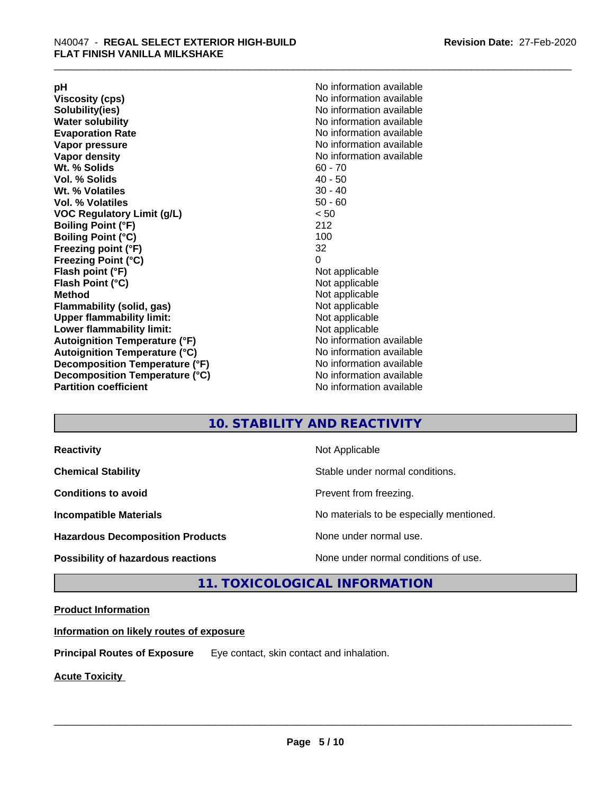**Viscosity (cps)** <br> **Viscosity (cps)** No information available<br>
No information available<br>
No information available **Water solubility Water solubility Water solubility Water solubility Water solubility Water solution Evaporation Rate No information available No information available Vapor pressure** No information available **Vapor density No information available No information available Wt. % Solids** 60 - 70<br> **Vol. % Solids** 60 - 70<br> **Vol. % Solids** 40 - 50 **Vol. % Solids Wt.** % Volatiles 30 - 40 **Vol. % Volatiles** 50 - 60 **VOC Regulatory Limit (g/L)** < 50 **Boiling Point (°F)** 212 **Boiling Point (°C) Freezing point (°F)** 32 **Freezing Point (°C)** 0 **Flash point (°F)** Not applicable **Flash Point (°C)** Not applicable **Method**<br> **Flammability (solid, gas)**<br> **Example 2018** Not applicable **Flammability** (solid, gas) **Upper flammability limit:** Not applicable **Lower flammability limit:** Not applicable **Autoignition Temperature (°F)** No information available **Autoignition Temperature (°C)** No information available **Decomposition Temperature (°F)** No information available **Decomposition Temperature (°C)** No information available **Partition coefficient** No information available

**pH**<br>
Viscosity (cps) The Contract Contract Contract Contract Contract Contract Contract Contract Contract Contract Co<br>
No information available **Solubility(ies)** No information available

### **10. STABILITY AND REACTIVITY**

| <b>Reactivity</b>                         | Not Applicable                           |
|-------------------------------------------|------------------------------------------|
| <b>Chemical Stability</b>                 | Stable under normal conditions.          |
| <b>Conditions to avoid</b>                | Prevent from freezing.                   |
| <b>Incompatible Materials</b>             | No materials to be especially mentioned. |
| <b>Hazardous Decomposition Products</b>   | None under normal use.                   |
| <b>Possibility of hazardous reactions</b> | None under normal conditions of use.     |

#### **11. TOXICOLOGICAL INFORMATION**

#### **Product Information**

**Information on likely routes of exposure**

**Principal Routes of Exposure** Eye contact, skin contact and inhalation.

**Acute Toxicity**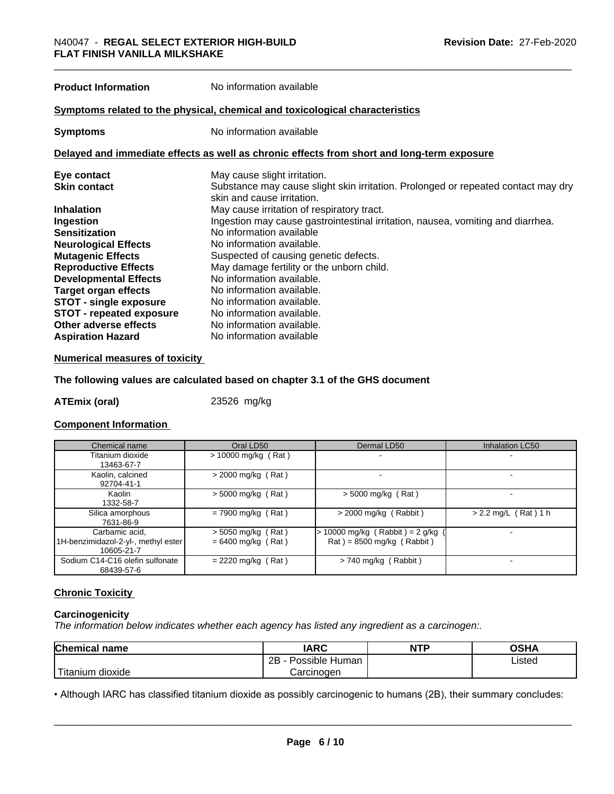**Product Information** No information available

#### **Symptoms** related to the physical, chemical and toxicological characteristics

**Symptoms** No information available

#### **Delayed and immediate effects as well as chronic effects from short and long-term exposure**

| Eye contact                     | May cause slight irritation.                                                      |
|---------------------------------|-----------------------------------------------------------------------------------|
| <b>Skin contact</b>             | Substance may cause slight skin irritation. Prolonged or repeated contact may dry |
|                                 | skin and cause irritation.                                                        |
| <b>Inhalation</b>               | May cause irritation of respiratory tract.                                        |
| Ingestion                       | Ingestion may cause gastrointestinal irritation, nausea, vomiting and diarrhea.   |
| <b>Sensitization</b>            | No information available                                                          |
| <b>Neurological Effects</b>     | No information available.                                                         |
| <b>Mutagenic Effects</b>        | Suspected of causing genetic defects.                                             |
| <b>Reproductive Effects</b>     | May damage fertility or the unborn child.                                         |
| <b>Developmental Effects</b>    | No information available.                                                         |
| Target organ effects            | No information available.                                                         |
| <b>STOT - single exposure</b>   | No information available.                                                         |
| <b>STOT - repeated exposure</b> | No information available.                                                         |
| Other adverse effects           | No information available.                                                         |
| <b>Aspiration Hazard</b>        | No information available                                                          |

#### **Numerical measures of toxicity**

#### **The following values are calculated based on chapter 3.1 of the GHS document**

**ATEmix (oral)** 23526 mg/kg

#### **Component Information**

| Chemical name                                                       | Oral LD50                                    | Dermal LD50                                                                        | <b>Inhalation LC50</b> |
|---------------------------------------------------------------------|----------------------------------------------|------------------------------------------------------------------------------------|------------------------|
| Titanium dioxide<br>13463-67-7                                      | $> 10000$ mg/kg (Rat)                        |                                                                                    |                        |
| Kaolin, calcined<br>92704-41-1                                      | $>$ 2000 mg/kg (Rat)                         |                                                                                    |                        |
| Kaolin<br>1332-58-7                                                 | $>$ 5000 mg/kg (Rat)                         | $>$ 5000 mg/kg (Rat)                                                               |                        |
| Silica amorphous<br>7631-86-9                                       | $= 7900$ mg/kg (Rat)                         | $>$ 2000 mg/kg (Rabbit)                                                            | $> 2.2$ mg/L (Rat) 1 h |
| Carbamic acid,<br>1H-benzimidazol-2-yl-, methyl ester<br>10605-21-7 | $>$ 5050 mg/kg (Rat)<br>$= 6400$ mg/kg (Rat) | 10000 mg/kg (Rabbit) = $2$ g/kg<br>$\text{Rat}$ ) = 8500 mg/kg ( $\text{Rabbit}$ ) |                        |
| Sodium C14-C16 olefin sulfonate<br>68439-57-6                       | $= 2220$ mg/kg (Rat)                         | $> 740$ mg/kg (Rabbit)                                                             |                        |

#### **Chronic Toxicity**

#### **Carcinogenicity**

*The information below indicateswhether each agency has listed any ingredient as a carcinogen:.*

| <b>Chemical name</b>   | <b>IARC</b>          | <b>NTP</b> | OSHA   |
|------------------------|----------------------|------------|--------|
|                        | 2B<br>Possible Human |            | Listed |
| 'Titanium<br>m dioxide | Carcinoɑen           |            |        |

• Although IARC has classified titanium dioxide as possibly carcinogenic to humans (2B), their summary concludes:<br> **Page 6/10**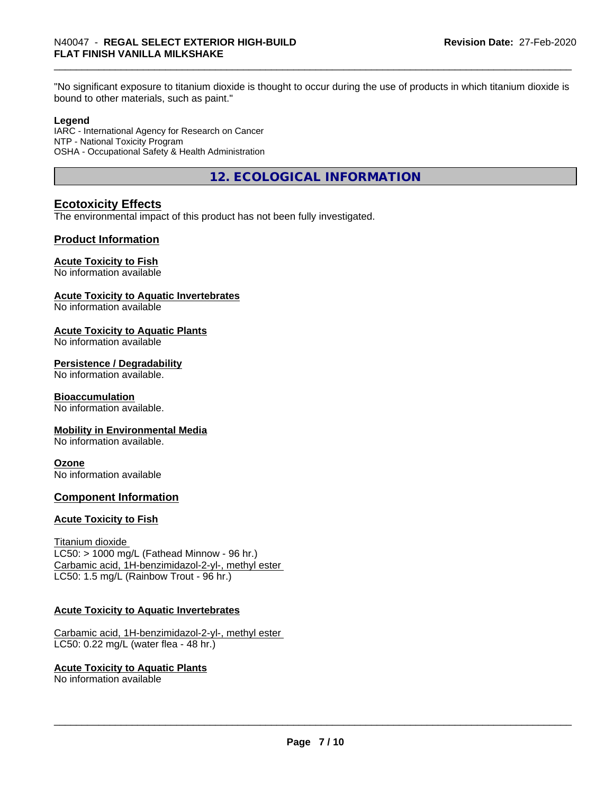"No significant exposure to titanium dioxide is thought to occur during the use of products in which titanium dioxide is bound to other materials, such as paint."

#### **Legend**

IARC - International Agency for Research on Cancer NTP - National Toxicity Program OSHA - Occupational Safety & Health Administration

**12. ECOLOGICAL INFORMATION**

#### **Ecotoxicity Effects**

The environmental impact of this product has not been fully investigated.

#### **Product Information**

#### **Acute Toxicity to Fish**

No information available

#### **Acute Toxicity to Aquatic Invertebrates**

No information available

#### **Acute Toxicity to Aquatic Plants**

No information available

#### **Persistence / Degradability**

No information available.

#### **Bioaccumulation**

No information available.

#### **Mobility in Environmental Media**

No information available.

#### **Ozone**

No information available

#### **Component Information**

#### **Acute Toxicity to Fish**

Titanium dioxide  $LC50:$  > 1000 mg/L (Fathead Minnow - 96 hr.) Carbamic acid, 1H-benzimidazol-2-yl-, methyl ester LC50: 1.5 mg/L (Rainbow Trout - 96 hr.)

#### **Acute Toxicity to Aquatic Invertebrates**

Carbamic acid, 1H-benzimidazol-2-yl-, methyl ester LC50: 0.22 mg/L (water flea - 48 hr.)

#### **Acute Toxicity to Aquatic Plants**

No information available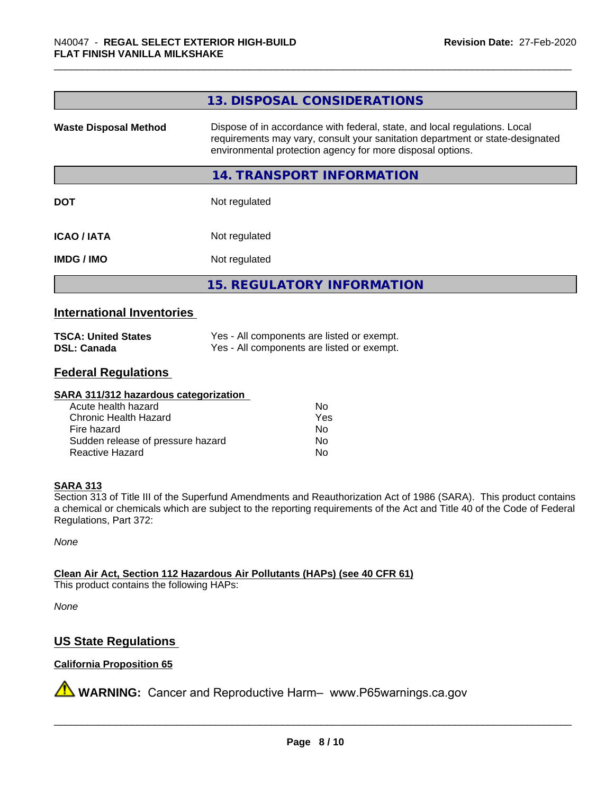|                              | 13. DISPOSAL CONSIDERATIONS                                                                                                                                                                                               |
|------------------------------|---------------------------------------------------------------------------------------------------------------------------------------------------------------------------------------------------------------------------|
| <b>Waste Disposal Method</b> | Dispose of in accordance with federal, state, and local regulations. Local<br>requirements may vary, consult your sanitation department or state-designated<br>environmental protection agency for more disposal options. |
|                              | 14. TRANSPORT INFORMATION                                                                                                                                                                                                 |
| <b>DOT</b>                   | Not regulated                                                                                                                                                                                                             |
| <b>ICAO/IATA</b>             | Not regulated                                                                                                                                                                                                             |
| <b>IMDG/IMO</b>              | Not regulated                                                                                                                                                                                                             |
|                              | <b>15. REGULATORY INFORMATION</b>                                                                                                                                                                                         |

#### **International Inventories**

| <b>TSCA: United States</b> | Yes - All components are listed or exempt. |
|----------------------------|--------------------------------------------|
| <b>DSL: Canada</b>         | Yes - All components are listed or exempt. |

#### **Federal Regulations**

#### **SARA 311/312 hazardous categorization**

| Acute health hazard               | Nο  |
|-----------------------------------|-----|
| Chronic Health Hazard             | Yes |
| Fire hazard                       | Nο  |
| Sudden release of pressure hazard | N٥  |
| Reactive Hazard                   | N٥  |

#### **SARA 313**

Section 313 of Title III of the Superfund Amendments and Reauthorization Act of 1986 (SARA). This product contains a chemical or chemicals which are subject to the reporting requirements of the Act and Title 40 of the Code of Federal Regulations, Part 372:

*None*

**Clean Air Act,Section 112 Hazardous Air Pollutants (HAPs) (see 40 CFR 61)**

This product contains the following HAPs:

*None*

#### **US State Regulations**

#### **California Proposition 65**

**A** WARNING: Cancer and Reproductive Harm– www.P65warnings.ca.gov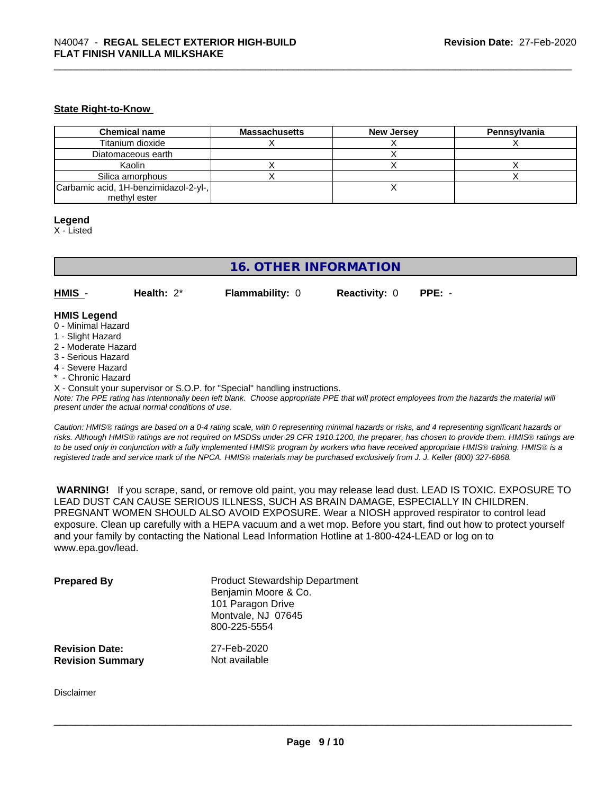#### **State Right-to-Know**

| <b>Chemical name</b>                  | <b>Massachusetts</b> | <b>New Jersey</b> | Pennsvlvania |
|---------------------------------------|----------------------|-------------------|--------------|
| Titanium dioxide                      |                      |                   |              |
| Diatomaceous earth                    |                      |                   |              |
| Kaolin                                |                      |                   |              |
| Silica amorphous                      |                      |                   |              |
| Carbamic acid, 1H-benzimidazol-2-yl-, |                      |                   |              |
| methyl ester                          |                      |                   |              |

#### **Legend**

X - Listed

### **16. OTHER INFORMATION**

**HMIS** - **Health:** 2\* **Flammability:** 0 **Reactivity:** 0 **PPE:** -

#### **HMIS Legend**

- 0 Minimal Hazard
- 1 Slight Hazard
- 2 Moderate Hazard
- 3 Serious Hazard
- 4 Severe Hazard
- \* Chronic Hazard
- X Consult your supervisor or S.O.P. for "Special" handling instructions.

*Note: The PPE rating has intentionally been left blank. Choose appropriate PPE that will protect employees from the hazards the material will present under the actual normal conditions of use.*

*Caution: HMISÒ ratings are based on a 0-4 rating scale, with 0 representing minimal hazards or risks, and 4 representing significant hazards or risks. Although HMISÒ ratings are not required on MSDSs under 29 CFR 1910.1200, the preparer, has chosen to provide them. HMISÒ ratings are to be used only in conjunction with a fully implemented HMISÒ program by workers who have received appropriate HMISÒ training. HMISÒ is a registered trade and service mark of the NPCA. HMISÒ materials may be purchased exclusively from J. J. Keller (800) 327-6868.*

 **WARNING!** If you scrape, sand, or remove old paint, you may release lead dust. LEAD IS TOXIC. EXPOSURE TO LEAD DUST CAN CAUSE SERIOUS ILLNESS, SUCH AS BRAIN DAMAGE, ESPECIALLY IN CHILDREN. PREGNANT WOMEN SHOULD ALSO AVOID EXPOSURE.Wear a NIOSH approved respirator to control lead exposure. Clean up carefully with a HEPA vacuum and a wet mop. Before you start, find out how to protect yourself and your family by contacting the National Lead Information Hotline at 1-800-424-LEAD or log on to www.epa.gov/lead.

| <b>Prepared By</b>      | <b>Product Stewardship Department</b><br>Benjamin Moore & Co.<br>101 Paragon Drive<br>Montvale, NJ 07645<br>800-225-5554 |
|-------------------------|--------------------------------------------------------------------------------------------------------------------------|
| <b>Revision Date:</b>   | 27-Feb-2020                                                                                                              |
| <b>Revision Summary</b> | Not available                                                                                                            |

Disclaimer